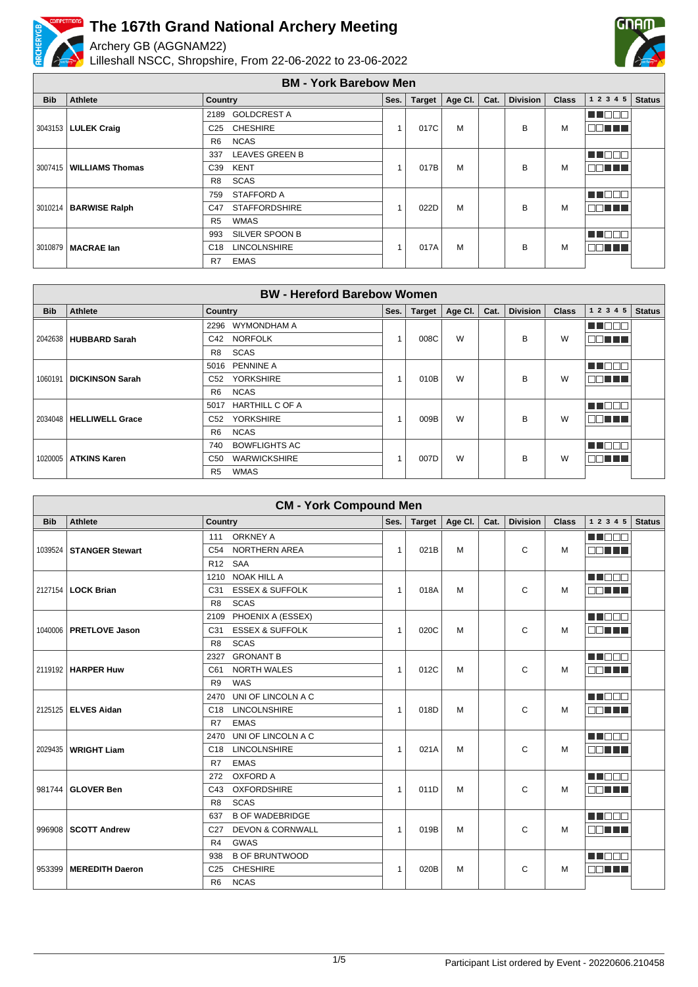

Archery GB (AGGNAM22)

Lilleshall NSCC, Shropshire, From 22-06-2022 to 23-06-2022



**BM - York Barebow Men**

| <b>Bib</b> | Athlete                   | Country                                | Ses. | <b>Target</b> | Age Cl. | Cat. | <b>Division</b> | <b>Class</b> | 12345     | <b>Status</b> |
|------------|---------------------------|----------------------------------------|------|---------------|---------|------|-----------------|--------------|-----------|---------------|
|            |                           | <b>GOLDCREST A</b><br>2189             |      |               |         |      |                 |              | M DO O O  |               |
|            | 3043153   LULEK Craig     | <b>CHESHIRE</b><br>C <sub>25</sub>     |      | 017C          | M       |      | B               | М            | an Tit    |               |
|            |                           | <b>NCAS</b><br>R <sub>6</sub>          |      |               |         |      |                 |              |           |               |
|            |                           | <b>LEAVES GREEN B</b><br>337           |      |               |         |      |                 |              | M DOO     |               |
|            | 3007415   WILLIAMS Thomas | <b>KENT</b><br>C39                     |      | 017B          | M       |      | B               | М            | MA TELEVI |               |
|            |                           | SCAS<br>R <sub>8</sub>                 |      |               |         |      |                 |              |           |               |
|            |                           | <b>STAFFORD A</b><br>759               |      |               |         |      |                 |              | M DOO     |               |
|            | 3010214   BARWISE Ralph   | <b>STAFFORDSHIRE</b><br>C47            |      | 022D          | M       |      | B               | М            | nn nn n   |               |
|            |                           | <b>WMAS</b><br>R <sub>5</sub>          |      |               |         |      |                 |              |           |               |
|            |                           | SILVER SPOON B<br>993                  |      |               |         |      |                 |              | M DE E    |               |
|            | 3010879   MACRAE Ian      | <b>LINCOLNSHIRE</b><br>C <sub>18</sub> |      | 017A          | M       |      | B               | М            | O DI LI   |               |
|            |                           | <b>EMAS</b><br>R7                      |      |               |         |      |                 |              |           |               |

| <b>BW</b> - Hereford Barebow Women |                        |                                     |              |        |         |      |                 |              |               |               |
|------------------------------------|------------------------|-------------------------------------|--------------|--------|---------|------|-----------------|--------------|---------------|---------------|
| <b>Bib</b>                         | Athlete                | <b>Country</b>                      | Ses.         | Target | Age Cl. | Cat. | <b>Division</b> | <b>Class</b> | 1 2 3 4 5     | <b>Status</b> |
|                                    |                        | WYMONDHAM A<br>2296                 |              |        |         |      |                 |              | MA DO C       |               |
| 2042638                            | <b>HUBBARD Sarah</b>   | <b>NORFOLK</b><br>C42               |              | 008C   | W       |      | B               | W            | 70 I I        |               |
|                                    |                        | SCAS<br>R <sub>8</sub>              |              |        |         |      |                 |              |               |               |
|                                    |                        | PENNINE A<br>5016                   |              |        |         |      |                 |              | ME E E E      |               |
| 1060191                            | <b>DICKINSON Sarah</b> | <b>YORKSHIRE</b><br>C <sub>52</sub> | $\mathbf{1}$ | 010B   | W       |      | B               | W            | 70 L L        |               |
|                                    |                        | <b>NCAS</b><br>R <sub>6</sub>       |              |        |         |      |                 |              |               |               |
|                                    |                        | <b>HARTHILL C OF A</b><br>5017      |              |        |         |      |                 |              | MT E E E      |               |
| 2034048                            | <b>HELLIWELL Grace</b> | <b>YORKSHIRE</b><br>C <sub>52</sub> |              | 009B   | W       |      | B               | W            | 70 O O O      |               |
|                                    |                        | <b>NCAS</b><br>R <sub>6</sub>       |              |        |         |      |                 |              |               |               |
|                                    |                        | <b>BOWFLIGHTS AC</b><br>740         |              |        |         |      |                 |              | <b>READER</b> |               |
| 1020005                            | <b>ATKINS Karen</b>    | <b>WARWICKSHIRE</b><br>C50          |              | 007D   | W       |      | B               | W            |               |               |
|                                    |                        | <b>WMAS</b><br>R <sub>5</sub>       |              |        |         |      |                 |              |               |               |

| <b>CM - York Compound Men</b> |                           |                                                |              |        |         |      |                 |              |               |               |
|-------------------------------|---------------------------|------------------------------------------------|--------------|--------|---------|------|-----------------|--------------|---------------|---------------|
| <b>Bib</b>                    | <b>Athlete</b>            | Country                                        | Ses.         | Target | Age Cl. | Cat. | <b>Division</b> | <b>Class</b> | 1 2 3 4 5     | <b>Status</b> |
|                               |                           | <b>ORKNEY A</b><br>111                         |              |        |         |      |                 |              | M D D U       |               |
|                               | 1039524   STANGER Stewart | <b>NORTHERN AREA</b><br>C <sub>54</sub>        | $\mathbf{1}$ | 021B   | M       |      | C               | M            | an Ti         |               |
|                               |                           | <b>SAA</b><br>R <sub>12</sub>                  |              |        |         |      |                 |              |               |               |
|                               |                           | 1210 NOAK HILL A                               |              |        |         |      |                 |              | <b>HE</b> DOO |               |
|                               | 2127154   LOCK Brian      | <b>ESSEX &amp; SUFFOLK</b><br>C31              | $\mathbf{1}$ | 018A   | M       |      | C               | M            | an min        |               |
|                               |                           | <b>SCAS</b><br>R <sub>8</sub>                  |              |        |         |      |                 |              |               |               |
|                               |                           | PHOENIX A (ESSEX)<br>2109                      |              |        |         |      |                 |              | M DE S        |               |
|                               | 1040006   PRETLOVE Jason  | <b>ESSEX &amp; SUFFOLK</b><br>C31              | $\mathbf{1}$ | 020C   | M       |      | C               | M            | aa mini       |               |
|                               |                           | <b>SCAS</b><br>R <sub>8</sub>                  |              |        |         |      |                 |              |               |               |
|                               |                           | <b>GRONANT B</b><br>2327                       |              |        |         |      |                 |              | Mala Kata     |               |
|                               | 2119192   HARPER Huw      | <b>NORTH WALES</b><br>C61                      | $\mathbf{1}$ | 012C   | M       |      | C               | M            | aa mar        |               |
|                               |                           | WAS<br>R <sub>9</sub>                          |              |        |         |      |                 |              |               |               |
|                               |                           | UNI OF LINCOLN A C<br>2470                     |              |        |         |      |                 |              | M BER         |               |
|                               | 2125125 ELVES Aidan       | <b>LINCOLNSHIRE</b><br>C <sub>18</sub>         | $\mathbf{1}$ | 018D   | M       |      | C               | M            | nn an L       |               |
|                               |                           | <b>EMAS</b><br>R7                              |              |        |         |      |                 |              |               |               |
|                               |                           | UNI OF LINCOLN A C<br>2470                     |              |        |         |      |                 |              | M BEN         |               |
| 2029435                       | <b>WRIGHT Liam</b>        | <b>LINCOLNSHIRE</b><br>C18                     | $\mathbf{1}$ | 021A   | M       |      | C               | м            | an ni n       |               |
|                               |                           | <b>EMAS</b><br>R7                              |              |        |         |      |                 |              |               |               |
|                               |                           | <b>OXFORD A</b><br>272                         |              |        |         |      |                 |              | M BER         |               |
|                               | 981744 GLOVER Ben         | <b>OXFORDSHIRE</b><br>C43                      | $\mathbf{1}$ | 011D   | M       |      | C               | M            | OD TITL       |               |
|                               |                           | <b>SCAS</b><br>R <sub>8</sub>                  |              |        |         |      |                 |              |               |               |
|                               |                           | <b>B OF WADEBRIDGE</b><br>637                  |              |        |         |      |                 |              | M BEE         |               |
|                               | 996908   SCOTT Andrew     | <b>DEVON &amp; CORNWALL</b><br>C <sub>27</sub> | $\mathbf{1}$ | 019B   | M       |      | C               | M            | aan ni        |               |
|                               |                           | <b>GWAS</b><br>R4                              |              |        |         |      |                 |              |               |               |
|                               |                           | <b>B OF BRUNTWOOD</b><br>938                   |              |        |         |      |                 |              | M BER         |               |
|                               | 953399   MEREDITH Daeron  | <b>CHESHIRE</b><br>C <sub>25</sub>             | $\mathbf{1}$ | 020B   | M       |      | C               | M            | MA TITLE      |               |
|                               |                           | <b>NCAS</b><br>R <sub>6</sub>                  |              |        |         |      |                 |              |               |               |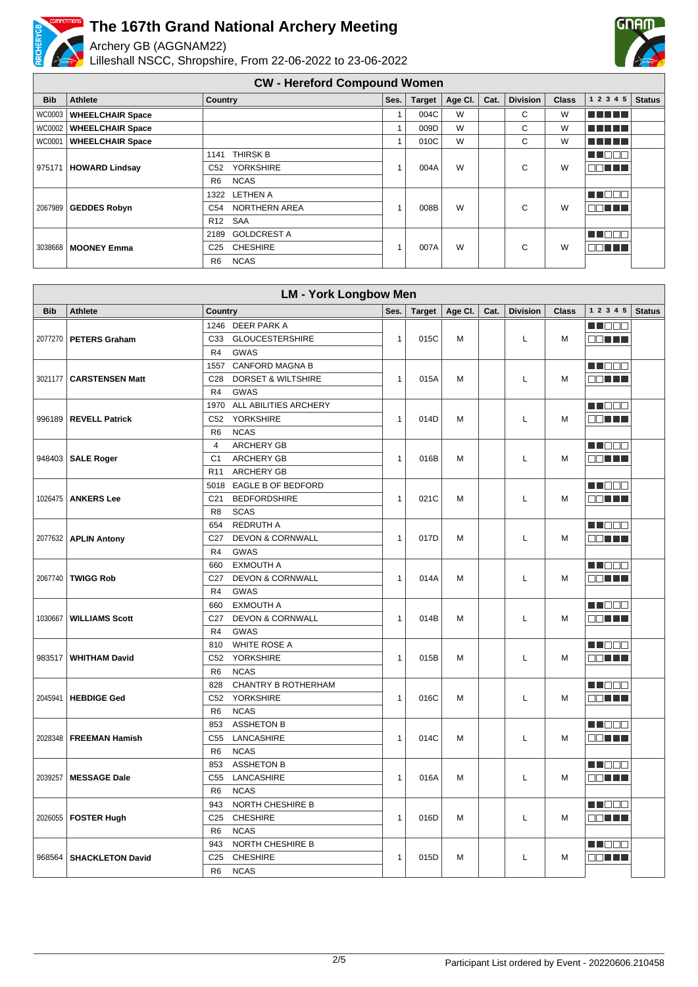

Archery GB (AGGNAM22)

Lilleshall NSCC, Shropshire, From 22-06-2022 to 23-06-2022



#### **CW - Hereford Compound Women**

| <b>Bib</b>    | <b>Athlete</b>          | Country                             | Ses. | <b>Target</b> | Age Cl. | Cat. | <b>Division</b> | <b>Class</b> | 1 2 3 4 5 | <b>Status</b> |
|---------------|-------------------------|-------------------------------------|------|---------------|---------|------|-----------------|--------------|-----------|---------------|
| WC0003        | <b>WHEELCHAIR Space</b> |                                     |      | 004C          | W       |      | C               | W            | n din bir |               |
| <b>WC0002</b> | <b>WHEELCHAIR Space</b> |                                     |      | 009D          | W       |      | C               | W            | n din bin |               |
| WC0001        | <b>WHEELCHAIR Space</b> |                                     |      | 010C          | W       |      | C               | W            | n din bin |               |
|               |                         | <b>THIRSK B</b><br>1141             |      |               |         |      |                 |              | M DE O    |               |
| 975171        | <b>HOWARD Lindsay</b>   | <b>YORKSHIRE</b><br>C <sub>52</sub> |      | 004A          | W       |      | C               | W            | 30 T T T  |               |
|               |                         | <b>NCAS</b><br>R <sub>6</sub>       |      |               |         |      |                 |              |           |               |
|               |                         | <b>LETHEN A</b><br>1322             |      |               |         |      |                 |              | E E E E E |               |
| 2067989       | <b>GEDDES Robyn</b>     | NORTHERN AREA<br>C54                |      | 008B          | W       |      | C               | W            | 70 O O O  |               |
|               |                         | <b>SAA</b><br>R <sub>12</sub>       |      |               |         |      |                 |              |           |               |
|               |                         | <b>GOLDCREST A</b><br>2189          |      |               |         |      |                 |              | M S S S S |               |
| 3038668       | <b>MOONEY Emma</b>      | <b>CHESHIRE</b><br>C <sub>25</sub>  |      | 007A          | W       |      | C               | W            | 30 N N N  |               |
|               |                         | <b>NCAS</b><br>R <sub>6</sub>       |      |               |         |      |                 |              |           |               |

| <b>LM - York Longbow Men</b> |                           |                                                  |              |               |         |      |                 |              |                 |               |
|------------------------------|---------------------------|--------------------------------------------------|--------------|---------------|---------|------|-----------------|--------------|-----------------|---------------|
| <b>Bib</b>                   | <b>Athlete</b>            | Country                                          | Ses.         | <b>Target</b> | Age Cl. | Cat. | <b>Division</b> | <b>Class</b> | $1\ 2\ 3\ 4\ 5$ | <b>Status</b> |
|                              |                           | 1246 DEER PARK A                                 |              |               |         |      |                 |              | M S S S         |               |
| 2077270                      | <b>PETERS Graham</b>      | C33<br><b>GLOUCESTERSHIRE</b>                    | $\mathbf{1}$ | 015C          | M       |      | Г               | M            | OO HA           |               |
|                              |                           | R <sub>4</sub><br>GWAS                           |              |               |         |      |                 |              |                 |               |
|                              |                           | 1557 CANFORD MAGNA B                             |              |               |         |      |                 |              | M NO O O        |               |
|                              | 3021177   CARSTENSEN Matt | <b>DORSET &amp; WILTSHIRE</b><br>C <sub>28</sub> | $\mathbf{1}$ | 015A          | M       |      | Г               | M            | OO TITIT        |               |
|                              |                           | R4<br><b>GWAS</b>                                |              |               |         |      |                 |              |                 |               |
|                              |                           | 1970 ALL ABILITIES ARCHERY                       |              |               |         |      |                 |              | MU DO O         |               |
|                              | 996189   REVELL Patrick   | <b>YORKSHIRE</b><br>C <sub>52</sub>              | $\mathbf{1}$ | 014D          | M       |      | Г               | M            | OO HILL         |               |
|                              |                           | R <sub>6</sub><br><b>NCAS</b>                    |              |               |         |      |                 |              |                 |               |
|                              |                           | <b>ARCHERY GB</b><br>$\overline{4}$              |              |               |         |      |                 |              | N NO DE L       |               |
|                              | 948403   SALE Roger       | C <sub>1</sub><br><b>ARCHERY GB</b>              | $\mathbf{1}$ | 016B          | M       |      | L               | M            | OO HALL         |               |
|                              |                           | R <sub>11</sub><br><b>ARCHERY GB</b>             |              |               |         |      |                 |              |                 |               |
|                              |                           | 5018 EAGLE B OF BEDFORD                          |              |               |         |      |                 |              | M S S S         |               |
|                              | 1026475   ANKERS Lee      | <b>BEDFORDSHIRE</b><br>C <sub>21</sub>           | $\mathbf{1}$ | 021C          | M       |      | L               | M            | SE TITL         |               |
|                              |                           | <b>SCAS</b><br>R <sub>8</sub>                    |              |               |         |      |                 |              |                 |               |
|                              |                           | <b>REDRUTH A</b><br>654                          |              |               |         |      |                 |              | M NO O O        |               |
|                              | 2077632   APLIN Antony    | <b>DEVON &amp; CORNWALL</b><br>C <sub>27</sub>   | $\mathbf{1}$ | 017D          | M       |      | L               | M            | 80 H H          |               |
|                              |                           | <b>GWAS</b><br>R <sub>4</sub>                    |              |               |         |      |                 |              |                 |               |
|                              |                           | <b>EXMOUTH A</b><br>660                          |              |               |         |      |                 |              | M NOOO          |               |
|                              | 2067740   TWIGG Rob       | <b>DEVON &amp; CORNWALL</b><br>C <sub>27</sub>   | $\mathbf{1}$ | 014A          | M       |      | Г               | M            | an Ti           |               |
|                              |                           | <b>GWAS</b><br>R <sub>4</sub>                    |              |               |         |      |                 |              |                 |               |
|                              |                           | <b>EXMOUTH A</b><br>660                          |              |               |         |      |                 |              | M NOOC          |               |
| 1030667                      | <b>WILLIAMS Scott</b>     | C27<br><b>DEVON &amp; CORNWALL</b>               | $\mathbf{1}$ | 014B          | M       |      | L               | M            | SE ST           |               |
|                              |                           | <b>GWAS</b><br>R <sub>4</sub>                    |              |               |         |      |                 |              |                 |               |
|                              |                           | <b>WHITE ROSE A</b><br>810                       |              |               |         |      |                 |              | M DE B          |               |
| 983517                       | <b>WHITHAM David</b>      | C52<br>YORKSHIRE                                 | $\mathbf{1}$ | 015B          | M       |      | L               | M            | 88 H H          |               |
|                              |                           | <b>NCAS</b><br>R <sub>6</sub>                    |              |               |         |      |                 |              |                 |               |
|                              |                           | 828<br>CHANTRY B ROTHERHAM                       |              |               |         |      |                 |              | M NOC           |               |
| 2045941                      | <b>HEBDIGE Ged</b>        | C52 YORKSHIRE                                    | $\mathbf{1}$ | 016C          | M       |      | L               | M            | E E E E E       |               |
|                              |                           | <b>NCAS</b><br>R <sub>6</sub>                    |              |               |         |      |                 |              |                 |               |
|                              |                           | <b>ASSHETON B</b><br>853                         |              |               |         |      |                 |              | M NOOO          |               |
|                              | 2028348   FREEMAN Hamish  | LANCASHIRE<br>C <sub>55</sub>                    | $\mathbf{1}$ | 014C          | M       |      | L               | M            | an Ti           |               |
|                              |                           | <b>NCAS</b><br>R <sub>6</sub>                    |              |               |         |      |                 |              |                 |               |
|                              |                           | <b>ASSHETON B</b><br>853                         |              |               |         |      |                 |              | M NOOC          |               |
| 2039257                      | <b>MESSAGE Dale</b>       | LANCASHIRE<br>C <sub>55</sub>                    | $\mathbf{1}$ | 016A          | M       |      | L               | M            | e e i Ti        |               |
|                              |                           | <b>NCAS</b><br>R <sub>6</sub>                    |              |               |         |      |                 |              |                 |               |
|                              |                           | <b>NORTH CHESHIRE B</b><br>943                   |              |               |         |      |                 |              | M NO O O        |               |
|                              | 2026055   FOSTER Hugh     | C <sub>25</sub><br><b>CHESHIRE</b>               | $\mathbf{1}$ | 016D          | M       |      | L               | M            | OO E E E        |               |
|                              |                           | <b>NCAS</b><br>R <sub>6</sub>                    |              |               |         |      |                 |              |                 |               |
|                              |                           | 943<br><b>NORTH CHESHIRE B</b>                   |              |               |         |      |                 |              | M DE B          |               |
| 968564                       | <b>SHACKLETON David</b>   | C <sub>25</sub><br><b>CHESHIRE</b>               | $\mathbf{1}$ | 015D          | M       |      | L               | M            | OO HILL         |               |
|                              |                           | <b>NCAS</b><br>R <sub>6</sub>                    |              |               |         |      |                 |              |                 |               |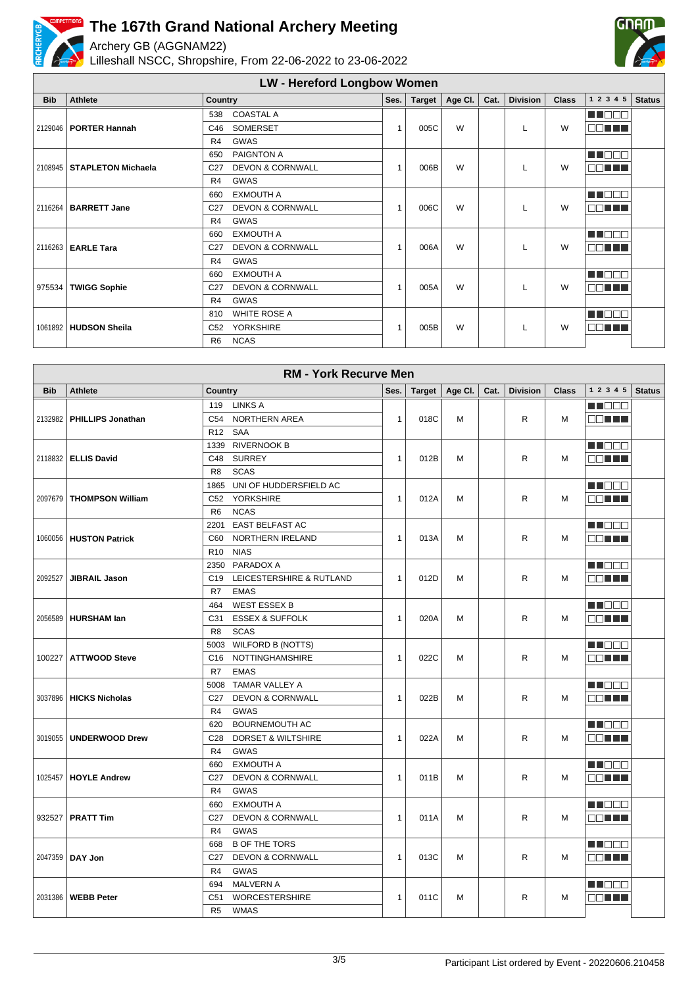

R6 NCAS



|            | <b>RM - York Recurve Men</b> |                                                |              |        |             |      |                 |              |                 |               |  |  |
|------------|------------------------------|------------------------------------------------|--------------|--------|-------------|------|-----------------|--------------|-----------------|---------------|--|--|
| <b>Bib</b> | <b>Athlete</b>               | Country                                        | Ses.         | Target | Age Cl. $ $ | Cat. | <b>Division</b> | <b>Class</b> | 1 2 3 4 5       | <b>Status</b> |  |  |
|            |                              | 119 LINKS A                                    |              |        |             |      |                 |              | M D D D         |               |  |  |
| 2132982    | <b>PHILLIPS Jonathan</b>     | C54 NORTHERN AREA                              | $\mathbf{1}$ | 018C   | м           |      | R               | м            | 88 E E E        |               |  |  |
|            |                              | R <sub>12</sub> SAA                            |              |        |             |      |                 |              |                 |               |  |  |
|            |                              | 1339 RIVERNOOK B                               |              |        |             |      |                 |              | M DE O          |               |  |  |
|            | 2118832 ELLIS David          | <b>SURREY</b><br>C48                           | $\mathbf{1}$ | 012B   | M           |      | R               | M            | 80 T T          |               |  |  |
|            |                              | <b>SCAS</b><br>R8                              |              |        |             |      |                 |              |                 |               |  |  |
|            |                              | 1865 UNI OF HUDDERSFIELD AC                    |              |        |             |      |                 |              | MU OO O         |               |  |  |
|            | 2097679   THOMPSON William   | C52 YORKSHIRE                                  | $\mathbf{1}$ | 012A   | м           |      | R.              | M            | <b>BELLE</b>    |               |  |  |
|            |                              | <b>NCAS</b><br>R <sub>6</sub>                  |              |        |             |      |                 |              |                 |               |  |  |
|            |                              | <b>EAST BELFAST AC</b><br>2201                 |              |        |             |      |                 |              | M NO O          |               |  |  |
|            | 1060056   HUSTON Patrick     | C60 NORTHERN IRELAND                           | $\mathbf{1}$ | 013A   | м           |      | R               | M            | OO TITLE        |               |  |  |
|            |                              | R <sub>10</sub> NIAS                           |              |        |             |      |                 |              |                 |               |  |  |
|            |                              | 2350 PARADOX A                                 |              |        |             |      |                 |              | M NO 88         |               |  |  |
| 2092527    | <b>JIBRAIL Jason</b>         | C <sub>19</sub><br>LEICESTERSHIRE & RUTLAND    | $\mathbf{1}$ | 012D   | M           |      | R               | M            | OO EE E         |               |  |  |
|            |                              | R7<br><b>EMAS</b>                              |              |        |             |      |                 |              |                 |               |  |  |
|            |                              | <b>WEST ESSEX B</b><br>464                     |              |        |             |      |                 |              | M S S S         |               |  |  |
|            | 2056589   HURSHAM lan        | <b>ESSEX &amp; SUFFOLK</b><br>C31              | $\mathbf{1}$ | 020A   | M           |      | R               | M            | OO HALL         |               |  |  |
|            |                              | <b>SCAS</b><br>R8                              |              |        |             |      |                 |              |                 |               |  |  |
|            |                              | <b>WILFORD B (NOTTS)</b><br>5003               |              |        |             |      |                 |              | MU O O O        |               |  |  |
|            | 100227 ATTWOOD Steve         | C16 NOTTINGHAMSHIRE                            | $\mathbf{1}$ | 022C   | M           |      | R               | M            | 88 H H          |               |  |  |
|            |                              | R7<br><b>EMAS</b>                              |              |        |             |      |                 |              |                 |               |  |  |
|            |                              | 5008 TAMAR VALLEY A                            |              |        |             |      |                 |              | M N O O O       |               |  |  |
|            | 3037896   HICKS Nicholas     | C27<br><b>DEVON &amp; CORNWALL</b>             | $\mathbf{1}$ | 022B   | M           |      | R               | M            | 88 N N N        |               |  |  |
|            |                              | GWAS<br>R4                                     |              |        |             |      |                 |              |                 |               |  |  |
|            |                              | <b>BOURNEMOUTH AC</b><br>620                   |              |        |             |      |                 |              | MU DO D         |               |  |  |
|            | 3019055   UNDERWOOD Drew     | C28 DORSET & WILTSHIRE                         | $\mathbf{1}$ | 022A   | M           |      | R               | M            | OC ELE          |               |  |  |
|            |                              | <b>GWAS</b><br>R <sub>4</sub>                  |              |        |             |      |                 |              |                 |               |  |  |
|            |                              | <b>EXMOUTH A</b><br>660                        |              |        |             |      |                 |              | M DO O          |               |  |  |
|            | 1025457   HOYLE Andrew       | C <sub>27</sub><br><b>DEVON &amp; CORNWALL</b> | $\mathbf{1}$ | 011B   | м           |      | R               | м            | <b>BELLE</b>    |               |  |  |
|            |                              | R <sub>4</sub><br><b>GWAS</b>                  |              |        |             |      |                 |              |                 |               |  |  |
|            |                              | <b>EXMOUTH A</b><br>660                        |              |        |             |      |                 |              | MA BEB          |               |  |  |
|            | 932527   PRATT Tim           | C27<br><b>DEVON &amp; CORNWALL</b>             | $\mathbf{1}$ | 011A   | м           |      | R               | м            | 80 H H H        |               |  |  |
|            |                              | R <sub>4</sub><br>GWAS                         |              |        |             |      |                 |              |                 |               |  |  |
|            |                              | <b>B OF THE TORS</b><br>668                    |              |        |             |      |                 |              | <u>ma a a s</u> |               |  |  |
|            | 2047359   DAY Jon            | C27<br><b>DEVON &amp; CORNWALL</b>             | $\mathbf{1}$ | 013C   | м           |      | R               | M            | OO N H H        |               |  |  |
|            |                              | R <sub>4</sub><br><b>GWAS</b>                  |              |        |             |      |                 |              |                 |               |  |  |
|            |                              | <b>MALVERN A</b><br>694                        |              |        |             |      |                 |              | M NO SI U       |               |  |  |
|            | 2031386   WEBB Peter         | C51<br><b>WORCESTERSHIRE</b>                   | $\mathbf{1}$ | 011C   | м           |      | R               | м            | 80 H H          |               |  |  |
|            |                              | <b>WMAS</b><br>R <sub>5</sub>                  |              |        |             |      |                 |              |                 |               |  |  |

**GDA**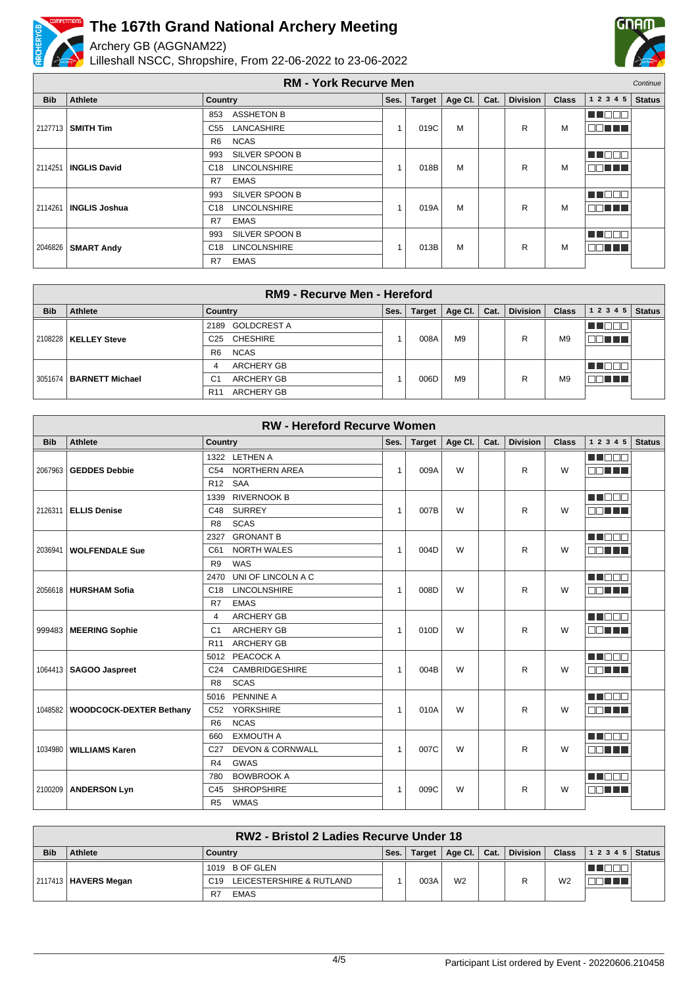

Archery GB (AGGNAM22)

Lilleshall NSCC, Shropshire, From 22-06-2022 to 23-06-2022



| <b>RM - York Recurve Men</b> |                      |                                        |      |               |         |      |                 |              |              | Continue      |
|------------------------------|----------------------|----------------------------------------|------|---------------|---------|------|-----------------|--------------|--------------|---------------|
| <b>Bib</b>                   | Athlete              | <b>Country</b>                         | Ses. | <b>Target</b> | Age Cl. | Cat. | <b>Division</b> | <b>Class</b> | 1 2 3 4 5    | <b>Status</b> |
|                              |                      | <b>ASSHETON B</b><br>853               |      |               |         |      |                 |              | an di Biblio |               |
| 2127713                      | <b>SMITH Tim</b>     | LANCASHIRE<br>C55                      |      | 019C          | M       |      | R               | M            | na mats      |               |
|                              |                      | <b>NCAS</b><br>R <sub>6</sub>          |      |               |         |      |                 |              |              |               |
|                              |                      | SILVER SPOON B<br>993                  |      |               |         |      |                 |              | un mmm       |               |
| 2114251                      | <b>INGLIS David</b>  | <b>LINCOLNSHIRE</b><br>C <sub>18</sub> |      | 018B          | M       |      | R               | M            | 88 H H       |               |
|                              |                      | <b>EMAS</b><br>R7                      |      |               |         |      |                 |              |              |               |
|                              |                      | SILVER SPOON B<br>993                  |      |               |         |      |                 |              | n de ele     |               |
| 2114261                      | <b>INGLIS Joshua</b> | <b>LINCOLNSHIRE</b><br>C <sub>18</sub> |      | 019A          | M       |      | R               | M            | 88 H H       |               |
|                              |                      | R7<br><b>EMAS</b>                      |      |               |         |      |                 |              |              |               |
|                              |                      | SILVER SPOON B<br>993                  |      |               |         |      |                 |              | T FER        |               |
| 2046826                      | <b>SMART Andy</b>    | <b>LINCOLNSHIRE</b><br>C <sub>18</sub> |      | 013B          | M       |      | R               | M            | 88 H H       |               |
|                              |                      | <b>EMAS</b><br>R7                      |      |               |         |      |                 |              |              |               |

| RM9 - Recurve Men - Hereford |                           |                                      |      |               |                |      |                 |                |           |               |
|------------------------------|---------------------------|--------------------------------------|------|---------------|----------------|------|-----------------|----------------|-----------|---------------|
| <b>Bib</b>                   | Athlete                   | Country                              | Ses. | <b>Target</b> | Age Cl.        | Cat. | <b>Division</b> | <b>Class</b>   | 1 2 3 4 5 | <b>Status</b> |
|                              |                           | <b>GOLDCREST A</b><br>2189           |      |               |                |      |                 |                |           |               |
|                              | 2108228   KELLEY Steve    | C25 CHESHIRE                         |      | 008A          | M <sub>9</sub> |      | R               | M <sub>9</sub> | N TILL I  |               |
|                              |                           | <b>NCAS</b><br>R <sub>6</sub>        |      |               |                |      |                 |                |           |               |
|                              |                           | <b>ARCHERY GB</b><br>4               |      |               |                |      |                 |                |           |               |
|                              | 3051674   BARNETT Michael | <b>ARCHERY GB</b><br>C <sub>1</sub>  |      | 006D          | M <sub>9</sub> |      | R               | M <sub>9</sub> | T 1 1 1   |               |
|                              |                           | <b>ARCHERY GB</b><br>R <sub>11</sub> |      |               |                |      |                 |                |           |               |

| <b>RW - Hereford Recurve Women</b> |                                   |                                                |  |              |               |         |      |                 |              |             |               |
|------------------------------------|-----------------------------------|------------------------------------------------|--|--------------|---------------|---------|------|-----------------|--------------|-------------|---------------|
| <b>Bib</b>                         | Athlete                           | Country                                        |  | Ses.         | <b>Target</b> | Age Cl. | Cat. | <b>Division</b> | <b>Class</b> | 1 2 3 4 5   | <b>Status</b> |
|                                    |                                   | 1322 LETHEN A                                  |  |              |               |         |      |                 |              | MN 889      |               |
|                                    | 2067963   GEDDES Debbie           | <b>NORTHERN AREA</b><br>C54                    |  | 1            | 009A          | W       |      | R               | W            | MA TITLE    |               |
|                                    |                                   | R <sub>12</sub> SAA                            |  |              |               |         |      |                 |              |             |               |
|                                    |                                   | <b>RIVERNOOK B</b><br>1339                     |  |              |               |         |      |                 |              | M BER       |               |
|                                    | 2126311   ELLIS Denise            | <b>SURREY</b><br>C48                           |  | $\mathbf{1}$ | 007B          | W       |      | R               | W            | EN HE       |               |
|                                    |                                   | <b>SCAS</b><br>R <sub>8</sub>                  |  |              |               |         |      |                 |              |             |               |
|                                    |                                   | <b>GRONANT B</b><br>2327                       |  |              |               |         |      |                 |              | M BEA       |               |
| 2036941                            | <b>WOLFENDALE Sue</b>             | <b>NORTH WALES</b><br>C61                      |  | $\mathbf{1}$ | 004D          | W       |      | R               | W            | <b>ODER</b> |               |
|                                    |                                   | R <sub>9</sub><br>WAS                          |  |              |               |         |      |                 |              |             |               |
|                                    |                                   | UNI OF LINCOLN A C<br>2470                     |  |              |               |         |      |                 |              | M OO O      |               |
|                                    | 2056618 HURSHAM Sofia             | <b>LINCOLNSHIRE</b><br>C <sub>18</sub>         |  | 1            | 008D          | W       |      | R               | W            | nn an L     |               |
|                                    |                                   | <b>EMAS</b><br>R7                              |  |              |               |         |      |                 |              |             |               |
|                                    |                                   | <b>ARCHERY GB</b><br>$\overline{4}$            |  |              |               |         |      |                 |              | M DE S      |               |
|                                    | 999483   MEERING Sophie           | <b>ARCHERY GB</b><br>C <sub>1</sub>            |  | $\mathbf{1}$ | 010D          | W       |      | R               | W            | ma mats     |               |
|                                    |                                   | <b>ARCHERY GB</b><br><b>R11</b>                |  |              |               |         |      |                 |              |             |               |
|                                    |                                   | 5012 PEACOCK A                                 |  |              |               |         |      |                 |              | Mala Kata   |               |
|                                    | 1064413   SAGOO Jaspreet          | <b>CAMBRIDGESHIRE</b><br>C <sub>24</sub>       |  | 1            | 004B          | W       |      | R               | W            | n a shi ne  |               |
|                                    |                                   | <b>SCAS</b><br>R <sub>8</sub>                  |  |              |               |         |      |                 |              |             |               |
|                                    |                                   | 5016 PENNINE A                                 |  |              |               |         |      |                 |              | M BEA       |               |
|                                    | 1048582   WOODCOCK-DEXTER Bethany | <b>YORKSHIRE</b><br>C52                        |  | $\mathbf{1}$ | 010A          | W       |      | R               | W            | nn nn n     |               |
|                                    |                                   | <b>NCAS</b><br>R <sub>6</sub>                  |  |              |               |         |      |                 |              |             |               |
|                                    |                                   | <b>EXMOUTH A</b><br>660                        |  |              |               |         |      |                 |              | n na m      |               |
|                                    | 1034980   WILLIAMS Karen          | <b>DEVON &amp; CORNWALL</b><br>C <sub>27</sub> |  | 1            | 007C          | W       |      | R               | W            | 80 H H      |               |
|                                    |                                   | R <sub>4</sub><br><b>GWAS</b>                  |  |              |               |         |      |                 |              |             |               |
|                                    |                                   | <b>BOWBROOK A</b><br>780                       |  |              |               |         |      |                 |              | M DE S      |               |
| 2100209                            | <b>ANDERSON Lyn</b>               | <b>SHROPSHIRE</b><br>C45                       |  | 1            | 009C          | W       |      | R               | W            | nn nn n     |               |
|                                    |                                   | <b>WMAS</b><br>R <sub>5</sub>                  |  |              |               |         |      |                 |              |             |               |

|            | RW2 - Bristol 2 Ladies Recurve Under 18 |                                 |      |               |                |      |                 |              |                |  |
|------------|-----------------------------------------|---------------------------------|------|---------------|----------------|------|-----------------|--------------|----------------|--|
| <b>Bib</b> | <b>Athlete</b>                          | Country                         | Ses. | <b>Target</b> | Age Cl.        | Cat. | <b>Division</b> | <b>Class</b> | $12345$ Status |  |
|            |                                         | 1019 B OF GLEN                  |      |               |                |      |                 |              |                |  |
|            | 2117413   <b>HAVERS Megan</b>           | LEICESTERSHIRE & RUTLAND<br>C19 |      | 003A          | W <sub>2</sub> |      |                 | W2           | T T            |  |
|            |                                         | <b>EMAS</b><br>R7               |      |               |                |      |                 |              |                |  |